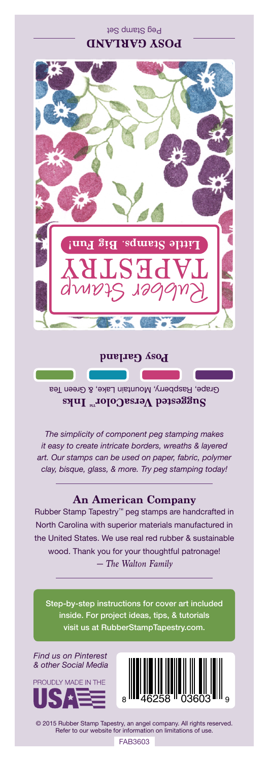Peg Stamp Set **POSY GARLAND** 



**Posy Garland** 

Grape, Raspberry, Mountain Lake, & Green Tea **Suggested VersaColorTM Inks**

*The simplicity of component peg stamping makes it easy to create intricate borders, wreaths & layered art. Our stamps can be used on paper, fabric, polymer clay, bisque, glass, & more. Try peg stamping today!*

## **An American Company**

*— The Walton Family* Rubber Stamp Tapestry™ peg stamps are handcrafted in North Carolina with superior materials manufactured in the United States. We use real red rubber & sustainable wood. Thank you for your thoughtful patronage!

Step-by-step instructions for cover art included inside. For project ideas, tips, & tutorials visit us at RubberStampTapestry.com.

*Find us on Pinterest & other Social Media*





© 2015 Rubber Stamp Tapestry, an angel company. All rights reserved. Refer to our website for information on limitations of use.